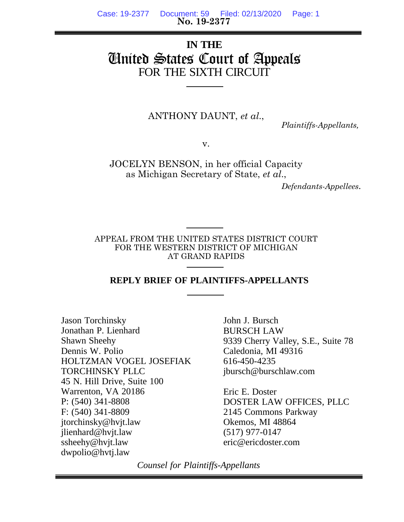**No. 19-2377** Case: 19-2377 Document: 59 Filed: 02/13/2020 Page: 1

# **IN THE** United States Court of Appeals FOR THE SIXTH CIRCUIT

ANTHONY DAUNT, *et al*.,

 *Plaintiffs-Appellants,*

v.

JOCELYN BENSON, in her official Capacity as Michigan Secretary of State, *et al*.,

 *Defendants-Appellees*.

APPEAL FROM THE UNITED STATES DISTRICT COURT FOR THE WESTERN DISTRICT OF MICHIGAN AT GRAND RAPIDS

#### **REPLY BRIEF OF PLAINTIFFS-APPELLANTS**

Jason Torchinsky Jonathan P. Lienhard Shawn Sheehy Dennis W. Polio HOLTZMAN VOGEL JOSEFIAK TORCHINSKY PLLC 45 N. Hill Drive, Suite 100 Warrenton, VA 20186 P: (540) 341-8808 F: (540) 341-8809 jtorchinsky@hvjt.law jlienhard@hvjt.law ssheehy@hvjt.law dwpolio@hvtj.law

John J. Bursch BURSCH LAW 9339 Cherry Valley, S.E., Suite 78 Caledonia, MI 49316 616-450-4235 jbursch@burschlaw.com

Eric E. Doster DOSTER LAW OFFICES, PLLC 2145 Commons Parkway Okemos, MI 48864 (517) 977-0147 eric@ericdoster.com

*Counsel for Plaintiffs-Appellants*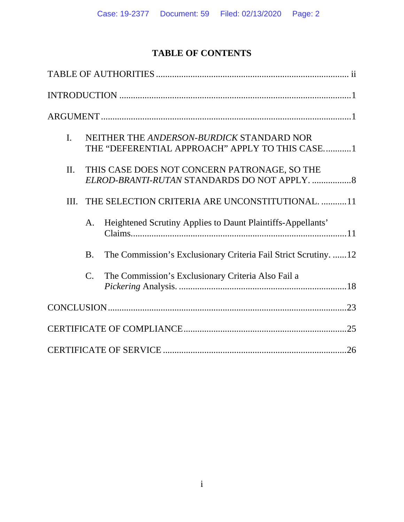# **TABLE OF CONTENTS**

| $\mathbf{I}$ . |                | NEITHER THE ANDERSON-BURDICK STANDARD NOR<br>THE "DEFERENTIAL APPROACH" APPLY TO THIS CASE1   |  |
|----------------|----------------|-----------------------------------------------------------------------------------------------|--|
| II.            |                | THIS CASE DOES NOT CONCERN PATRONAGE, SO THE<br>ELROD-BRANTI-RUTAN STANDARDS DO NOT APPLY.  8 |  |
| III.           |                | THE SELECTION CRITERIA ARE UNCONSTITUTIONAL. 11                                               |  |
|                | A.             | Heightened Scrutiny Applies to Daunt Plaintiffs-Appellants'                                   |  |
|                | <b>B.</b>      | The Commission's Exclusionary Criteria Fail Strict Scrutiny. 12                               |  |
|                | $\mathbf{C}$ . | The Commission's Exclusionary Criteria Also Fail a                                            |  |
|                |                |                                                                                               |  |
|                |                |                                                                                               |  |
|                |                |                                                                                               |  |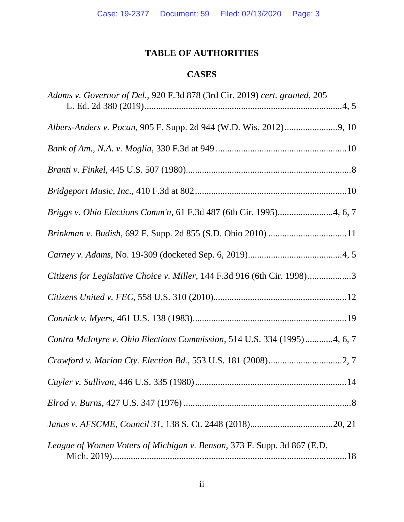# **TABLE OF AUTHORITIES**

# **CASES**

| Adams v. Governor of Del., 920 F.3d 878 (3rd Cir. 2019) cert. granted, 205 |
|----------------------------------------------------------------------------|
|                                                                            |
|                                                                            |
|                                                                            |
|                                                                            |
| Briggs v. Ohio Elections Comm'n, 61 F.3d 487 (6th Cir. 1995)4, 6, 7        |
| Brinkman v. Budish, 692 F. Supp. 2d 855 (S.D. Ohio 2010) 11                |
|                                                                            |
| Citizens for Legislative Choice v. Miller, 144 F.3d 916 (6th Cir. 1998)3   |
|                                                                            |
|                                                                            |
| Contra McIntyre v. Ohio Elections Commission, 514 U.S. 334 (1995)4, 6, 7   |
|                                                                            |
|                                                                            |
|                                                                            |
|                                                                            |
| League of Women Voters of Michigan v. Benson, 373 F. Supp. 3d 867 (E.D.    |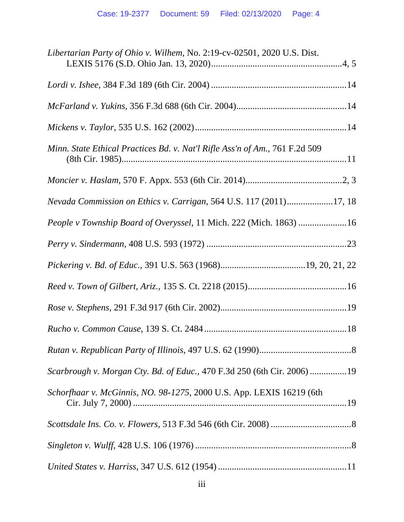| Libertarian Party of Ohio v. Wilhem, No. 2:19-cv-02501, 2020 U.S. Dist.     |
|-----------------------------------------------------------------------------|
|                                                                             |
|                                                                             |
|                                                                             |
| Minn. State Ethical Practices Bd. v. Nat'l Rifle Ass'n of Am., 761 F.2d 509 |
|                                                                             |
| Nevada Commission on Ethics v. Carrigan, 564 U.S. 117 (2011)17, 18          |
| People v Township Board of Overyssel, 11 Mich. 222 (Mich. 1863) 16          |
|                                                                             |
|                                                                             |
|                                                                             |
|                                                                             |
|                                                                             |
|                                                                             |
| Scarbrough v. Morgan Cty. Bd. of Educ., 470 F.3d 250 (6th Cir. 2006) 19     |
| Schorfhaar v. McGinnis, NO. 98-1275, 2000 U.S. App. LEXIS 16219 (6th        |
|                                                                             |
|                                                                             |
|                                                                             |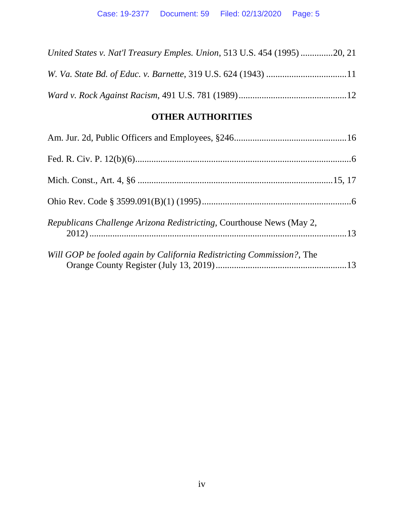| United States v. Nat'l Treasury Emples. Union, 513 U.S. 454 (1995) 20, 21 |  |
|---------------------------------------------------------------------------|--|
|                                                                           |  |
|                                                                           |  |

## **OTHER AUTHORITIES**

| Republicans Challenge Arizona Redistricting, Courthouse News (May 2,  |  |
|-----------------------------------------------------------------------|--|
| Will GOP be fooled again by California Redistricting Commission?, The |  |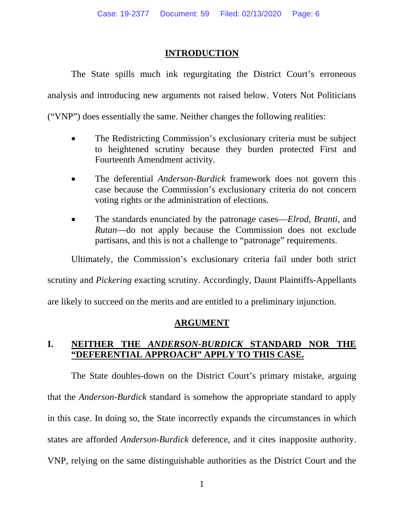### **INTRODUCTION**

The State spills much ink regurgitating the District Court's erroneous analysis and introducing new arguments not raised below. Voters Not Politicians ("VNP") does essentially the same. Neither changes the following realities:

- The Redistricting Commission's exclusionary criteria must be subject to heightened scrutiny because they burden protected First and Fourteenth Amendment activity.
- The deferential *Anderson-Burdick* framework does not govern this case because the Commission's exclusionary criteria do not concern voting rights or the administration of elections.
- The standards enunciated by the patronage cases—*Elrod*, *Branti*, and *Rutan*—do not apply because the Commission does not exclude partisans, and this is not a challenge to "patronage" requirements.

Ultimately, the Commission's exclusionary criteria fail under both strict

scrutiny and *Pickering* exacting scrutiny. Accordingly, Daunt Plaintiffs-Appellants

are likely to succeed on the merits and are entitled to a preliminary injunction.

### **ARGUMENT**

# **I. NEITHER THE** *ANDERSON-BURDICK* **STANDARD NOR THE "DEFERENTIAL APPROACH" APPLY TO THIS CASE.**

The State doubles-down on the District Court's primary mistake, arguing that the *Anderson-Burdick* standard is somehow the appropriate standard to apply in this case. In doing so, the State incorrectly expands the circumstances in which states are afforded *Anderson-Burdick* deference, and it cites inapposite authority. VNP, relying on the same distinguishable authorities as the District Court and the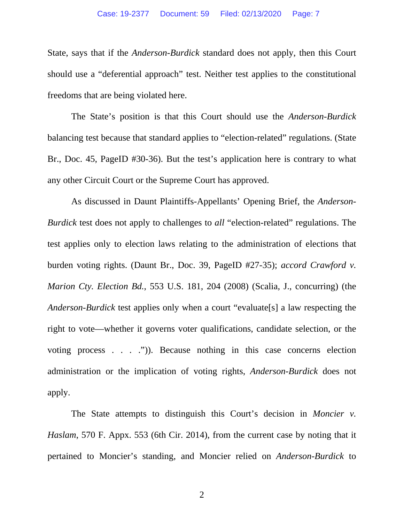State, says that if the *Anderson-Burdick* standard does not apply, then this Court should use a "deferential approach" test. Neither test applies to the constitutional freedoms that are being violated here.

The State's position is that this Court should use the *Anderson-Burdick* balancing test because that standard applies to "election-related" regulations. (State Br., Doc. 45, PageID #30-36). But the test's application here is contrary to what any other Circuit Court or the Supreme Court has approved.

As discussed in Daunt Plaintiffs-Appellants' Opening Brief, the *Anderson-Burdick* test does not apply to challenges to *all* "election-related" regulations. The test applies only to election laws relating to the administration of elections that burden voting rights. (Daunt Br., Doc. 39, PageID #27-35); *accord Crawford v. Marion Cty. Election Bd.*, 553 U.S. 181, 204 (2008) (Scalia, J., concurring) (the *Anderson-Burdick* test applies only when a court "evaluate[s] a law respecting the right to vote—whether it governs voter qualifications, candidate selection, or the voting process . . . .")). Because nothing in this case concerns election administration or the implication of voting rights, *Anderson-Burdick* does not apply.

The State attempts to distinguish this Court's decision in *Moncier v. Haslam*, 570 F. Appx. 553 (6th Cir. 2014), from the current case by noting that it pertained to Moncier's standing, and Moncier relied on *Anderson-Burdick* to

2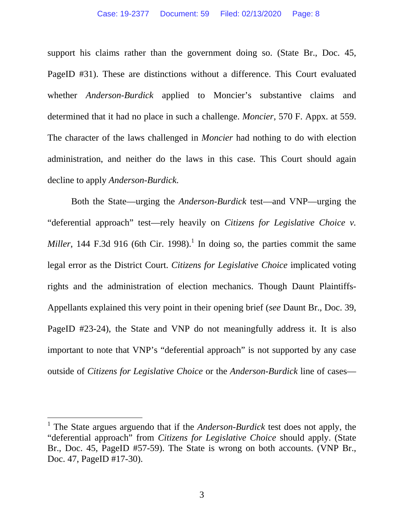support his claims rather than the government doing so. (State Br., Doc. 45, PageID #31). These are distinctions without a difference. This Court evaluated whether *Anderson-Burdick* applied to Moncier's substantive claims and determined that it had no place in such a challenge. *Moncier*, 570 F. Appx. at 559. The character of the laws challenged in *Moncier* had nothing to do with election administration, and neither do the laws in this case. This Court should again decline to apply *Anderson-Burdick*.

Both the State—urging the *Anderson-Burdick* test—and VNP—urging the "deferential approach" test—rely heavily on *Citizens for Legislative Choice v. Miller*, 144 F.3d 916 (6th Cir. 1998).<sup>1</sup> In doing so, the parties commit the same legal error as the District Court. *Citizens for Legislative Choice* implicated voting rights and the administration of election mechanics. Though Daunt Plaintiffs-Appellants explained this very point in their opening brief (*see* Daunt Br., Doc. 39, PageID #23-24), the State and VNP do not meaningfully address it. It is also important to note that VNP's "deferential approach" is not supported by any case outside of *Citizens for Legislative Choice* or the *Anderson-Burdick* line of cases—

<sup>&</sup>lt;sup>1</sup> The State argues arguendo that if the *Anderson-Burdick* test does not apply, the "deferential approach" from *Citizens for Legislative Choice* should apply. (State Br., Doc. 45, PageID #57-59). The State is wrong on both accounts. (VNP Br., Doc. 47, PageID #17-30).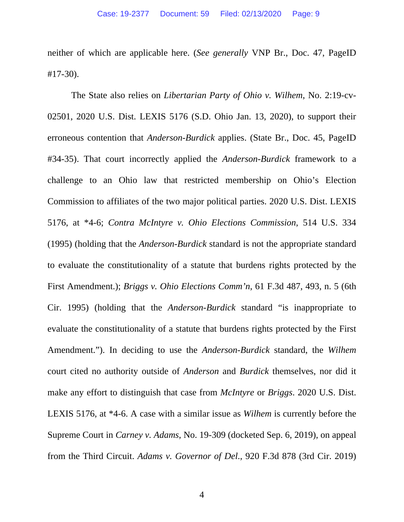neither of which are applicable here. (*See generally* VNP Br., Doc. 47, PageID #17-30).

The State also relies on *Libertarian Party of Ohio v. Wilhem*, No. 2:19-cv-02501, 2020 U.S. Dist. LEXIS 5176 (S.D. Ohio Jan. 13, 2020), to support their erroneous contention that *Anderson-Burdick* applies. (State Br., Doc. 45, PageID #34-35). That court incorrectly applied the *Anderson-Burdick* framework to a challenge to an Ohio law that restricted membership on Ohio's Election Commission to affiliates of the two major political parties. 2020 U.S. Dist. LEXIS 5176, at \*4-6; *Contra McIntyre v. Ohio Elections Commission*, 514 U.S. 334 (1995) (holding that the *Anderson-Burdick* standard is not the appropriate standard to evaluate the constitutionality of a statute that burdens rights protected by the First Amendment.); *Briggs v. Ohio Elections Comm'n*, 61 F.3d 487, 493, n. 5 (6th Cir. 1995) (holding that the *Anderson-Burdick* standard "is inappropriate to evaluate the constitutionality of a statute that burdens rights protected by the First Amendment."). In deciding to use the *Anderson-Burdick* standard, the *Wilhem*  court cited no authority outside of *Anderson* and *Burdick* themselves, nor did it make any effort to distinguish that case from *McIntyre* or *Briggs*. 2020 U.S. Dist. LEXIS 5176, at \*4-6. A case with a similar issue as *Wilhem* is currently before the Supreme Court in *Carney v. Adams*, No. 19-309 (docketed Sep. 6, 2019), on appeal from the Third Circuit. *Adams v. Governor of Del*., 920 F.3d 878 (3rd Cir. 2019)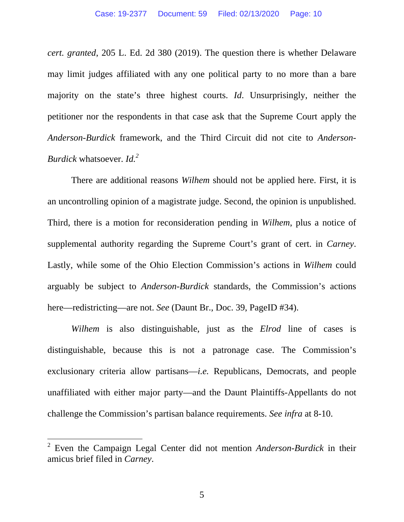*cert. granted*, 205 L. Ed. 2d 380 (2019). The question there is whether Delaware may limit judges affiliated with any one political party to no more than a bare majority on the state's three highest courts. *Id*. Unsurprisingly, neither the petitioner nor the respondents in that case ask that the Supreme Court apply the *Anderson-Burdick* framework, and the Third Circuit did not cite to *Anderson-Burdick* whatsoever. *Id.2*

There are additional reasons *Wilhem* should not be applied here. First, it is an uncontrolling opinion of a magistrate judge. Second, the opinion is unpublished. Third, there is a motion for reconsideration pending in *Wilhem*, plus a notice of supplemental authority regarding the Supreme Court's grant of cert. in *Carney*. Lastly, while some of the Ohio Election Commission's actions in *Wilhem* could arguably be subject to *Anderson-Burdick* standards, the Commission's actions here—redistricting—are not. *See* (Daunt Br., Doc. 39, PageID #34).

*Wilhem* is also distinguishable, just as the *Elrod* line of cases is distinguishable, because this is not a patronage case. The Commission's exclusionary criteria allow partisans—*i.e.* Republicans, Democrats, and people unaffiliated with either major party—and the Daunt Plaintiffs-Appellants do not challenge the Commission's partisan balance requirements. *See infra* at 8-10.

<sup>2</sup> Even the Campaign Legal Center did not mention *Anderson-Burdick* in their amicus brief filed in *Carney*.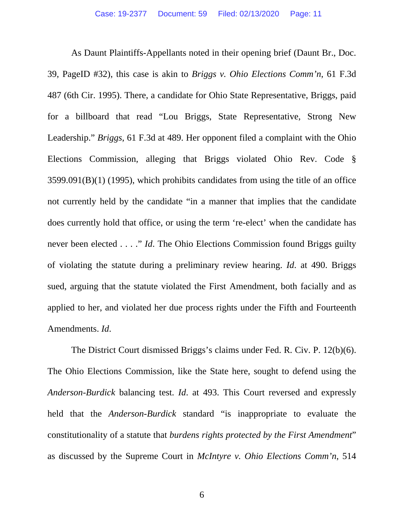As Daunt Plaintiffs-Appellants noted in their opening brief (Daunt Br., Doc. 39, PageID #32), this case is akin to *Briggs v. Ohio Elections Comm'n*, 61 F.3d 487 (6th Cir. 1995). There, a candidate for Ohio State Representative, Briggs, paid for a billboard that read "Lou Briggs, State Representative, Strong New Leadership." *Briggs*, 61 F.3d at 489. Her opponent filed a complaint with the Ohio Elections Commission, alleging that Briggs violated Ohio Rev. Code § 3599.091(B)(1) (1995), which prohibits candidates from using the title of an office not currently held by the candidate "in a manner that implies that the candidate does currently hold that office, or using the term 're-elect' when the candidate has never been elected . . . ." *Id*. The Ohio Elections Commission found Briggs guilty of violating the statute during a preliminary review hearing. *Id*. at 490. Briggs sued, arguing that the statute violated the First Amendment, both facially and as applied to her, and violated her due process rights under the Fifth and Fourteenth Amendments. *Id*.

The District Court dismissed Briggs's claims under Fed. R. Civ. P. 12(b)(6). The Ohio Elections Commission, like the State here, sought to defend using the *Anderson-Burdick* balancing test. *Id*. at 493. This Court reversed and expressly held that the *Anderson-Burdick* standard "is inappropriate to evaluate the constitutionality of a statute that *burdens rights protected by the First Amendment*" as discussed by the Supreme Court in *McIntyre v. Ohio Elections Comm'n*, 514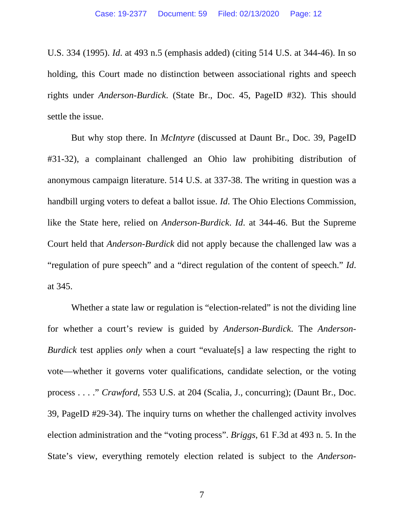U.S. 334 (1995). *Id*. at 493 n.5 (emphasis added) (citing 514 U.S. at 344-46). In so holding, this Court made no distinction between associational rights and speech rights under *Anderson-Burdick*. (State Br., Doc. 45, PageID #32). This should settle the issue.

But why stop there. In *McIntyre* (discussed at Daunt Br., Doc. 39, PageID #31-32), a complainant challenged an Ohio law prohibiting distribution of anonymous campaign literature. 514 U.S. at 337-38. The writing in question was a handbill urging voters to defeat a ballot issue. *Id*. The Ohio Elections Commission, like the State here, relied on *Anderson-Burdick*. *Id*. at 344-46. But the Supreme Court held that *Anderson-Burdick* did not apply because the challenged law was a "regulation of pure speech" and a "direct regulation of the content of speech." *Id*. at 345.

Whether a state law or regulation is "election-related" is not the dividing line for whether a court's review is guided by *Anderson-Burdick*. The *Anderson-Burdick* test applies *only* when a court "evaluate<sup>[s]</sup> a law respecting the right to vote—whether it governs voter qualifications, candidate selection, or the voting process . . . ." *Crawford*, 553 U.S. at 204 (Scalia, J., concurring); (Daunt Br., Doc. 39, PageID #29-34). The inquiry turns on whether the challenged activity involves election administration and the "voting process". *Briggs*, 61 F.3d at 493 n. 5. In the State's view, everything remotely election related is subject to the *Anderson-*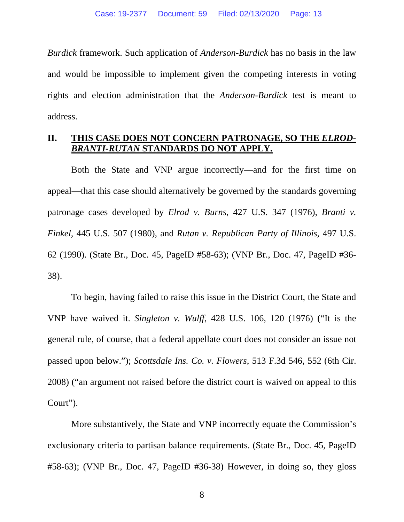*Burdick* framework. Such application of *Anderson-Burdick* has no basis in the law and would be impossible to implement given the competing interests in voting rights and election administration that the *Anderson-Burdick* test is meant to address.

### **II. THIS CASE DOES NOT CONCERN PATRONAGE, SO THE** *ELROD-BRANTI-RUTAN* **STANDARDS DO NOT APPLY.**

Both the State and VNP argue incorrectly—and for the first time on appeal—that this case should alternatively be governed by the standards governing patronage cases developed by *Elrod v. Burns*, 427 U.S. 347 (1976), *Branti v. Finkel*, 445 U.S. 507 (1980), and *Rutan v. Republican Party of Illinois*, 497 U.S. 62 (1990). (State Br., Doc. 45, PageID #58-63); (VNP Br., Doc. 47, PageID #36- 38).

To begin, having failed to raise this issue in the District Court, the State and VNP have waived it. *Singleton v. Wulff*, 428 U.S. 106, 120 (1976) ("It is the general rule, of course, that a federal appellate court does not consider an issue not passed upon below."); *Scottsdale Ins. Co. v. Flowers*, 513 F.3d 546, 552 (6th Cir. 2008) ("an argument not raised before the district court is waived on appeal to this Court").

More substantively, the State and VNP incorrectly equate the Commission's exclusionary criteria to partisan balance requirements. (State Br., Doc. 45, PageID #58-63); (VNP Br., Doc. 47, PageID #36-38) However, in doing so, they gloss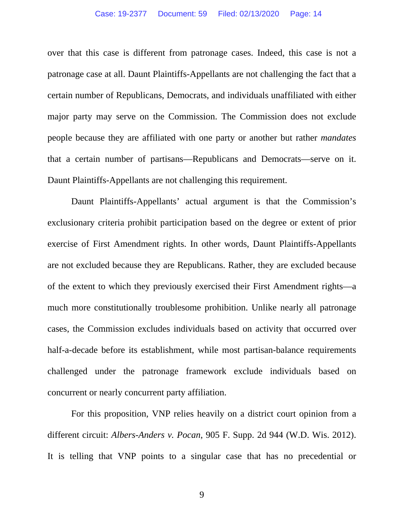over that this case is different from patronage cases. Indeed, this case is not a patronage case at all. Daunt Plaintiffs-Appellants are not challenging the fact that a certain number of Republicans, Democrats, and individuals unaffiliated with either major party may serve on the Commission. The Commission does not exclude people because they are affiliated with one party or another but rather *mandates* that a certain number of partisans—Republicans and Democrats—serve on it. Daunt Plaintiffs-Appellants are not challenging this requirement.

Daunt Plaintiffs-Appellants' actual argument is that the Commission's exclusionary criteria prohibit participation based on the degree or extent of prior exercise of First Amendment rights. In other words, Daunt Plaintiffs-Appellants are not excluded because they are Republicans. Rather, they are excluded because of the extent to which they previously exercised their First Amendment rights—a much more constitutionally troublesome prohibition. Unlike nearly all patronage cases, the Commission excludes individuals based on activity that occurred over half-a-decade before its establishment, while most partisan-balance requirements challenged under the patronage framework exclude individuals based on concurrent or nearly concurrent party affiliation.

 For this proposition, VNP relies heavily on a district court opinion from a different circuit: *Albers-Anders v. Pocan*, 905 F. Supp. 2d 944 (W.D. Wis. 2012). It is telling that VNP points to a singular case that has no precedential or

9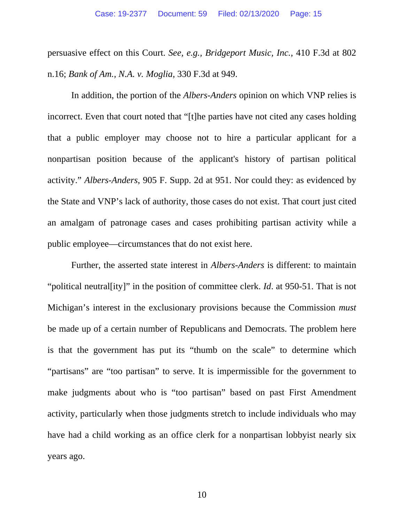persuasive effect on this Court. *See, e.g., Bridgeport Music, Inc.*, 410 F.3d at 802 n.16; *Bank of Am., N.A. v. Moglia*, 330 F.3d at 949.

In addition, the portion of the *Albers-Anders* opinion on which VNP relies is incorrect. Even that court noted that "[t]he parties have not cited any cases holding that a public employer may choose not to hire a particular applicant for a nonpartisan position because of the applicant's history of partisan political activity." *Albers-Anders*, 905 F. Supp. 2d at 951. Nor could they: as evidenced by the State and VNP's lack of authority, those cases do not exist. That court just cited an amalgam of patronage cases and cases prohibiting partisan activity while a public employee—circumstances that do not exist here.

Further, the asserted state interest in *Albers-Anders* is different: to maintain "political neutral[ity]" in the position of committee clerk. *Id*. at 950-51. That is not Michigan's interest in the exclusionary provisions because the Commission *must* be made up of a certain number of Republicans and Democrats. The problem here is that the government has put its "thumb on the scale" to determine which "partisans" are "too partisan" to serve. It is impermissible for the government to make judgments about who is "too partisan" based on past First Amendment activity, particularly when those judgments stretch to include individuals who may have had a child working as an office clerk for a nonpartisan lobbyist nearly six years ago.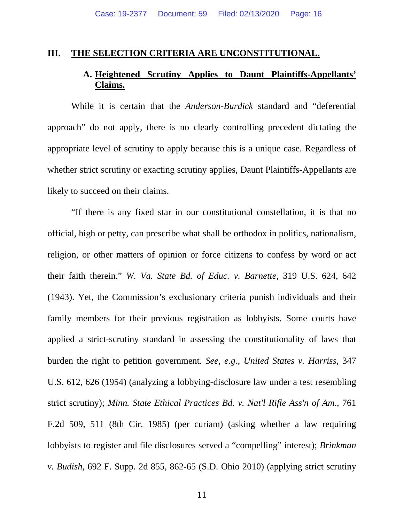#### **III. THE SELECTION CRITERIA ARE UNCONSTITUTIONAL.**

# **A. Heightened Scrutiny Applies to Daunt Plaintiffs-Appellants' Claims.**

While it is certain that the *Anderson-Burdick* standard and "deferential approach" do not apply, there is no clearly controlling precedent dictating the appropriate level of scrutiny to apply because this is a unique case. Regardless of whether strict scrutiny or exacting scrutiny applies, Daunt Plaintiffs-Appellants are likely to succeed on their claims.

"If there is any fixed star in our constitutional constellation, it is that no official, high or petty, can prescribe what shall be orthodox in politics, nationalism, religion, or other matters of opinion or force citizens to confess by word or act their faith therein." *W. Va. State Bd. of Educ. v. Barnette*, 319 U.S. 624, 642 (1943). Yet, the Commission's exclusionary criteria punish individuals and their family members for their previous registration as lobbyists. Some courts have applied a strict-scrutiny standard in assessing the constitutionality of laws that burden the right to petition government. *See, e.g., United States v. Harriss*, 347 U.S. 612, 626 (1954) (analyzing a lobbying-disclosure law under a test resembling strict scrutiny); *Minn. State Ethical Practices Bd. v. Nat'l Rifle Ass'n of Am.*, 761 F.2d 509, 511 (8th Cir. 1985) (per curiam) (asking whether a law requiring lobbyists to register and file disclosures served a "compelling" interest); *Brinkman v. Budish*, 692 F. Supp. 2d 855, 862-65 (S.D. Ohio 2010) (applying strict scrutiny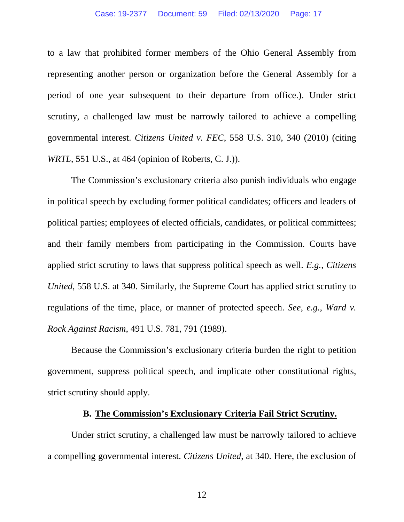to a law that prohibited former members of the Ohio General Assembly from representing another person or organization before the General Assembly for a period of one year subsequent to their departure from office.). Under strict scrutiny, a challenged law must be narrowly tailored to achieve a compelling governmental interest. *Citizens United v. FEC*, 558 U.S. 310, 340 (2010) (citing *WRTL*, 551 U.S., at 464 (opinion of Roberts, C. J.)).

The Commission's exclusionary criteria also punish individuals who engage in political speech by excluding former political candidates; officers and leaders of political parties; employees of elected officials, candidates, or political committees; and their family members from participating in the Commission. Courts have applied strict scrutiny to laws that suppress political speech as well. *E.g.*, *Citizens United*, 558 U.S. at 340. Similarly, the Supreme Court has applied strict scrutiny to regulations of the time, place, or manner of protected speech. *See, e.g.*, *Ward v. Rock Against Racism*, 491 U.S. 781, 791 (1989).

 Because the Commission's exclusionary criteria burden the right to petition government, suppress political speech, and implicate other constitutional rights, strict scrutiny should apply.

#### **B. The Commission's Exclusionary Criteria Fail Strict Scrutiny.**

Under strict scrutiny, a challenged law must be narrowly tailored to achieve a compelling governmental interest. *Citizens United*, at 340. Here, the exclusion of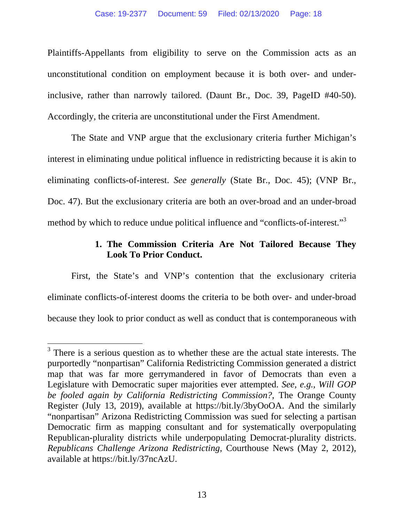Plaintiffs-Appellants from eligibility to serve on the Commission acts as an unconstitutional condition on employment because it is both over- and underinclusive, rather than narrowly tailored. (Daunt Br., Doc. 39, PageID #40-50). Accordingly, the criteria are unconstitutional under the First Amendment.

The State and VNP argue that the exclusionary criteria further Michigan's interest in eliminating undue political influence in redistricting because it is akin to eliminating conflicts-of-interest. *See generally* (State Br., Doc. 45); (VNP Br., Doc. 47). But the exclusionary criteria are both an over-broad and an under-broad method by which to reduce undue political influence and "conflicts-of-interest."<sup>3</sup>

## **1. The Commission Criteria Are Not Tailored Because They Look To Prior Conduct.**

First, the State's and VNP's contention that the exclusionary criteria eliminate conflicts-of-interest dooms the criteria to be both over- and under-broad because they look to prior conduct as well as conduct that is contemporaneous with

 $3$  There is a serious question as to whether these are the actual state interests. The purportedly "nonpartisan" California Redistricting Commission generated a district map that was far more gerrymandered in favor of Democrats than even a Legislature with Democratic super majorities ever attempted. *See, e.g.*, *Will GOP be fooled again by California Redistricting Commission?*, The Orange County Register (July 13, 2019), available at https://bit.ly/3byOoOA. And the similarly "nonpartisan" Arizona Redistricting Commission was sued for selecting a partisan Democratic firm as mapping consultant and for systematically overpopulating Republican-plurality districts while underpopulating Democrat-plurality districts. *Republicans Challenge Arizona Redistricting*, Courthouse News (May 2, 2012), available at https://bit.ly/37ncAzU.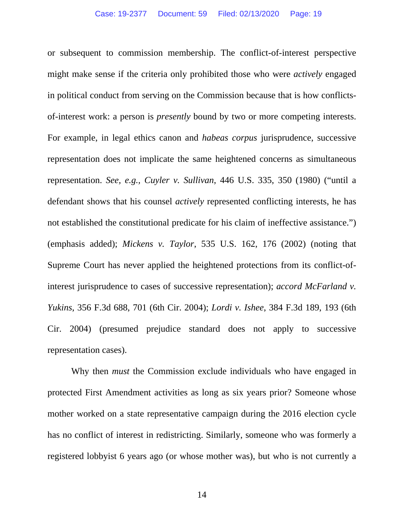or subsequent to commission membership. The conflict-of-interest perspective might make sense if the criteria only prohibited those who were *actively* engaged in political conduct from serving on the Commission because that is how conflictsof-interest work: a person is *presently* bound by two or more competing interests. For example, in legal ethics canon and *habeas corpus* jurisprudence, successive representation does not implicate the same heightened concerns as simultaneous representation. *See, e.g., Cuyler v. Sullivan*, 446 U.S. 335, 350 (1980) ("until a defendant shows that his counsel *actively* represented conflicting interests, he has not established the constitutional predicate for his claim of ineffective assistance.") (emphasis added); *Mickens v. Taylor*, 535 U.S. 162, 176 (2002) (noting that Supreme Court has never applied the heightened protections from its conflict-ofinterest jurisprudence to cases of successive representation); *accord McFarland v. Yukins*, 356 F.3d 688, 701 (6th Cir. 2004); *Lordi v. Ishee*, 384 F.3d 189, 193 (6th Cir. 2004) (presumed prejudice standard does not apply to successive representation cases).

Why then *must* the Commission exclude individuals who have engaged in protected First Amendment activities as long as six years prior? Someone whose mother worked on a state representative campaign during the 2016 election cycle has no conflict of interest in redistricting. Similarly, someone who was formerly a registered lobbyist 6 years ago (or whose mother was), but who is not currently a

14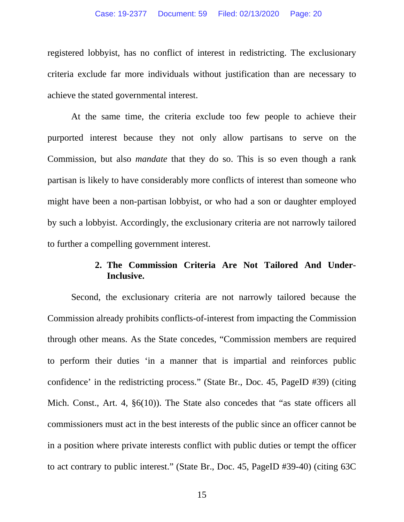registered lobbyist, has no conflict of interest in redistricting. The exclusionary criteria exclude far more individuals without justification than are necessary to achieve the stated governmental interest.

At the same time, the criteria exclude too few people to achieve their purported interest because they not only allow partisans to serve on the Commission, but also *mandate* that they do so. This is so even though a rank partisan is likely to have considerably more conflicts of interest than someone who might have been a non-partisan lobbyist, or who had a son or daughter employed by such a lobbyist. Accordingly, the exclusionary criteria are not narrowly tailored to further a compelling government interest.

### **2. The Commission Criteria Are Not Tailored And Under-Inclusive.**

Second, the exclusionary criteria are not narrowly tailored because the Commission already prohibits conflicts-of-interest from impacting the Commission through other means. As the State concedes, "Commission members are required to perform their duties 'in a manner that is impartial and reinforces public confidence' in the redistricting process." (State Br., Doc. 45, PageID #39) (citing Mich. Const., Art. 4,  $\S6(10)$ ). The State also concedes that "as state officers all commissioners must act in the best interests of the public since an officer cannot be in a position where private interests conflict with public duties or tempt the officer to act contrary to public interest." (State Br., Doc. 45, PageID #39-40) (citing 63C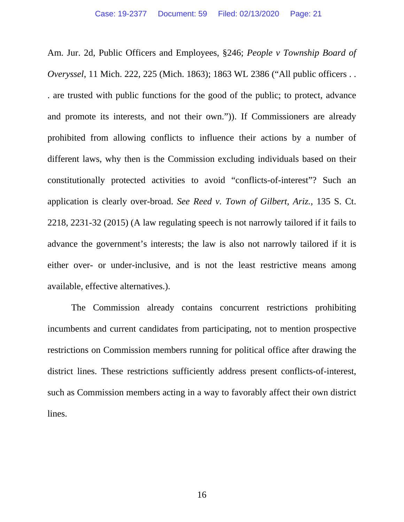Am. Jur. 2d, Public Officers and Employees, §246; *People v Township Board of Overyssel*, 11 Mich. 222, 225 (Mich. 1863); 1863 WL 2386 ("All public officers . . . are trusted with public functions for the good of the public; to protect, advance and promote its interests, and not their own.")). If Commissioners are already prohibited from allowing conflicts to influence their actions by a number of different laws, why then is the Commission excluding individuals based on their constitutionally protected activities to avoid "conflicts-of-interest"? Such an application is clearly over-broad. *See Reed v. Town of Gilbert, Ariz.*, 135 S. Ct. 2218, 2231-32 (2015) (A law regulating speech is not narrowly tailored if it fails to advance the government's interests; the law is also not narrowly tailored if it is either over- or under-inclusive, and is not the least restrictive means among available, effective alternatives.).

The Commission already contains concurrent restrictions prohibiting incumbents and current candidates from participating, not to mention prospective restrictions on Commission members running for political office after drawing the district lines. These restrictions sufficiently address present conflicts-of-interest, such as Commission members acting in a way to favorably affect their own district lines.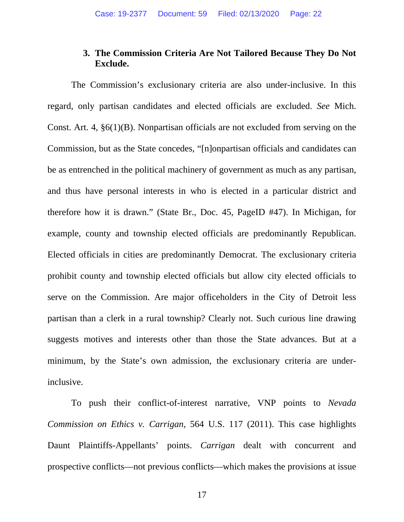### **3. The Commission Criteria Are Not Tailored Because They Do Not Exclude.**

The Commission's exclusionary criteria are also under-inclusive. In this regard, only partisan candidates and elected officials are excluded. *See* Mich. Const. Art. 4, §6(1)(B). Nonpartisan officials are not excluded from serving on the Commission, but as the State concedes, "[n]onpartisan officials and candidates can be as entrenched in the political machinery of government as much as any partisan, and thus have personal interests in who is elected in a particular district and therefore how it is drawn." (State Br., Doc. 45, PageID #47). In Michigan, for example, county and township elected officials are predominantly Republican. Elected officials in cities are predominantly Democrat. The exclusionary criteria prohibit county and township elected officials but allow city elected officials to serve on the Commission. Are major officeholders in the City of Detroit less partisan than a clerk in a rural township? Clearly not. Such curious line drawing suggests motives and interests other than those the State advances. But at a minimum, by the State's own admission, the exclusionary criteria are underinclusive.

To push their conflict-of-interest narrative, VNP points to *Nevada Commission on Ethics v. Carrigan*, 564 U.S. 117 (2011). This case highlights Daunt Plaintiffs-Appellants' points. *Carrigan* dealt with concurrent and prospective conflicts—not previous conflicts—which makes the provisions at issue

17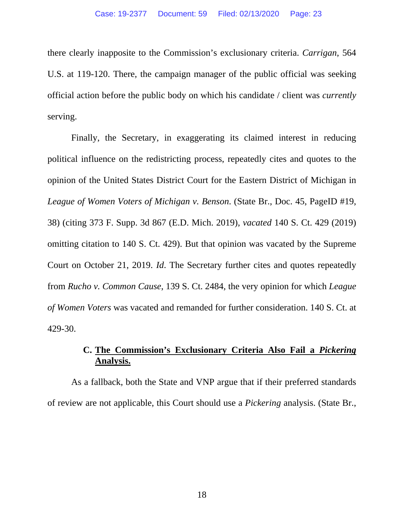there clearly inapposite to the Commission's exclusionary criteria. *Carrigan*, 564 U.S. at 119-120. There, the campaign manager of the public official was seeking official action before the public body on which his candidate / client was *currently* serving.

Finally, the Secretary, in exaggerating its claimed interest in reducing political influence on the redistricting process, repeatedly cites and quotes to the opinion of the United States District Court for the Eastern District of Michigan in *League of Women Voters of Michigan v. Benson*. (State Br., Doc. 45, PageID #19, 38) (citing 373 F. Supp. 3d 867 (E.D. Mich. 2019), *vacated* 140 S. Ct. 429 (2019) omitting citation to 140 S. Ct. 429). But that opinion was vacated by the Supreme Court on October 21, 2019. *Id*. The Secretary further cites and quotes repeatedly from *Rucho v. Common Cause*, 139 S. Ct. 2484, the very opinion for which *League of Women Voters* was vacated and remanded for further consideration. 140 S. Ct. at 429-30.

# **C. The Commission's Exclusionary Criteria Also Fail a** *Pickering*  **Analysis.**

As a fallback, both the State and VNP argue that if their preferred standards of review are not applicable, this Court should use a *Pickering* analysis. (State Br.,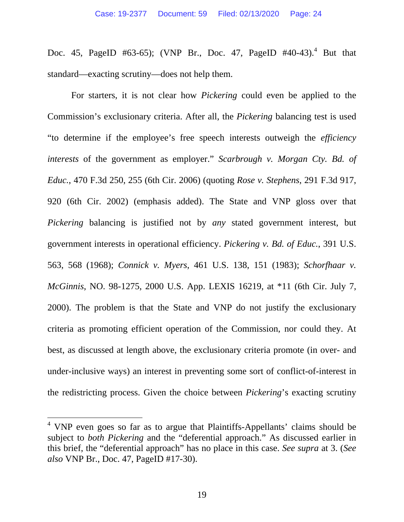Doc. 45, PageID #63-65); (VNP Br., Doc. 47, PageID #40-43).<sup>4</sup> But that standard—exacting scrutiny—does not help them.

For starters, it is not clear how *Pickering* could even be applied to the Commission's exclusionary criteria. After all, the *Pickering* balancing test is used "to determine if the employee's free speech interests outweigh the *efficiency interests* of the government as employer." *Scarbrough v. Morgan Cty. Bd. of Educ.*, 470 F.3d 250, 255 (6th Cir. 2006) (quoting *Rose v. Stephens*, 291 F.3d 917, 920 (6th Cir. 2002) (emphasis added). The State and VNP gloss over that *Pickering* balancing is justified not by *any* stated government interest, but government interests in operational efficiency. *Pickering v. Bd. of Educ.*, 391 U.S. 563, 568 (1968); *Connick v. Myers*, 461 U.S. 138, 151 (1983); *Schorfhaar v. McGinnis*, NO. 98-1275, 2000 U.S. App. LEXIS 16219, at \*11 (6th Cir. July 7, 2000). The problem is that the State and VNP do not justify the exclusionary criteria as promoting efficient operation of the Commission, nor could they. At best, as discussed at length above, the exclusionary criteria promote (in over- and under-inclusive ways) an interest in preventing some sort of conflict-of-interest in the redistricting process. Given the choice between *Pickering*'s exacting scrutiny

 $4$  VNP even goes so far as to argue that Plaintiffs-Appellants' claims should be subject to *both Pickering* and the "deferential approach." As discussed earlier in this brief, the "deferential approach" has no place in this case. *See supra* at 3. (*See also* VNP Br., Doc. 47, PageID #17-30).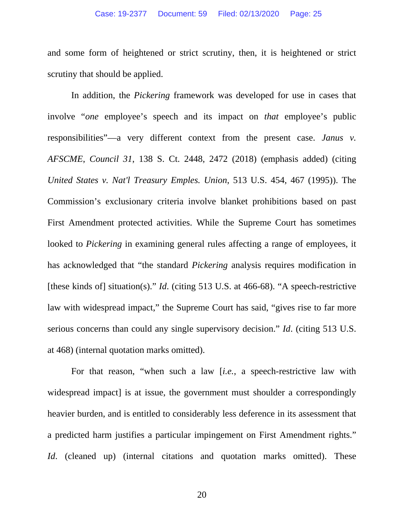and some form of heightened or strict scrutiny, then, it is heightened or strict scrutiny that should be applied.

In addition, the *Pickering* framework was developed for use in cases that involve "*one* employee's speech and its impact on *that* employee's public responsibilities"—a very different context from the present case. *Janus v. AFSCME*, *Council 31*, 138 S. Ct. 2448, 2472 (2018) (emphasis added) (citing *United States v. Nat'l Treasury Emples. Union*, 513 U.S. 454, 467 (1995)). The Commission's exclusionary criteria involve blanket prohibitions based on past First Amendment protected activities. While the Supreme Court has sometimes looked to *Pickering* in examining general rules affecting a range of employees, it has acknowledged that "the standard *Pickering* analysis requires modification in [these kinds of] situation(s)." *Id*. (citing 513 U.S. at 466-68). "A speech-restrictive law with widespread impact," the Supreme Court has said, "gives rise to far more serious concerns than could any single supervisory decision." *Id*. (citing 513 U.S. at 468) (internal quotation marks omitted).

For that reason, "when such a law [*i.e.*, a speech-restrictive law with widespread impact] is at issue, the government must shoulder a correspondingly heavier burden, and is entitled to considerably less deference in its assessment that a predicted harm justifies a particular impingement on First Amendment rights." *Id.* (cleaned up) (internal citations and quotation marks omitted). These

20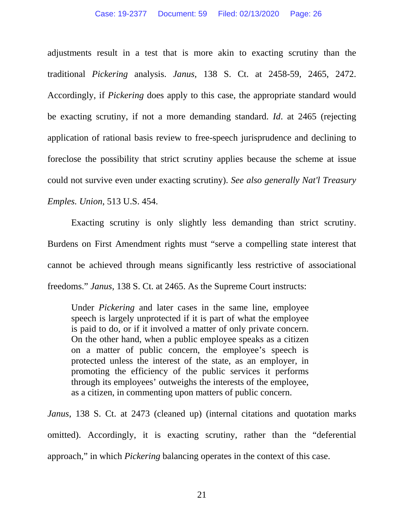adjustments result in a test that is more akin to exacting scrutiny than the traditional *Pickering* analysis. *Janus*, 138 S. Ct. at 2458-59, 2465, 2472. Accordingly, if *Pickering* does apply to this case, the appropriate standard would be exacting scrutiny, if not a more demanding standard. *Id*. at 2465 (rejecting application of rational basis review to free-speech jurisprudence and declining to foreclose the possibility that strict scrutiny applies because the scheme at issue could not survive even under exacting scrutiny). *See also generally Nat'l Treasury Emples. Union*, 513 U.S. 454.

Exacting scrutiny is only slightly less demanding than strict scrutiny. Burdens on First Amendment rights must "serve a compelling state interest that cannot be achieved through means significantly less restrictive of associational freedoms." *Janus*, 138 S. Ct. at 2465. As the Supreme Court instructs:

Under *Pickering* and later cases in the same line, employee speech is largely unprotected if it is part of what the employee is paid to do, or if it involved a matter of only private concern. On the other hand, when a public employee speaks as a citizen on a matter of public concern, the employee's speech is protected unless the interest of the state, as an employer, in promoting the efficiency of the public services it performs through its employees' outweighs the interests of the employee, as a citizen, in commenting upon matters of public concern.

*Janus*, 138 S. Ct. at 2473 (cleaned up) (internal citations and quotation marks omitted). Accordingly, it is exacting scrutiny, rather than the "deferential approach," in which *Pickering* balancing operates in the context of this case.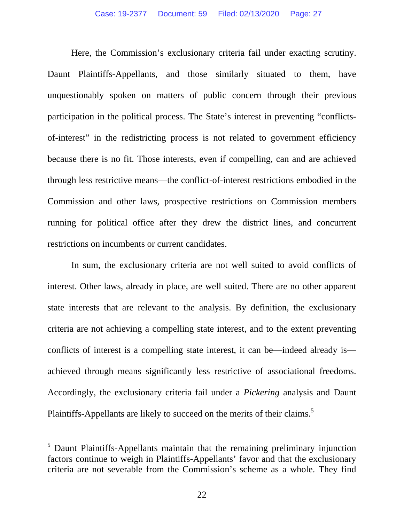Here, the Commission's exclusionary criteria fail under exacting scrutiny. Daunt Plaintiffs-Appellants, and those similarly situated to them, have unquestionably spoken on matters of public concern through their previous participation in the political process. The State's interest in preventing "conflictsof-interest" in the redistricting process is not related to government efficiency because there is no fit. Those interests, even if compelling, can and are achieved through less restrictive means—the conflict-of-interest restrictions embodied in the Commission and other laws, prospective restrictions on Commission members running for political office after they drew the district lines, and concurrent restrictions on incumbents or current candidates.

In sum, the exclusionary criteria are not well suited to avoid conflicts of interest. Other laws, already in place, are well suited. There are no other apparent state interests that are relevant to the analysis. By definition, the exclusionary criteria are not achieving a compelling state interest, and to the extent preventing conflicts of interest is a compelling state interest, it can be—indeed already is achieved through means significantly less restrictive of associational freedoms. Accordingly, the exclusionary criteria fail under a *Pickering* analysis and Daunt Plaintiffs-Appellants are likely to succeed on the merits of their claims.<sup>5</sup>

 $<sup>5</sup>$  Daunt Plaintiffs-Appellants maintain that the remaining preliminary injunction</sup> factors continue to weigh in Plaintiffs-Appellants' favor and that the exclusionary criteria are not severable from the Commission's scheme as a whole. They find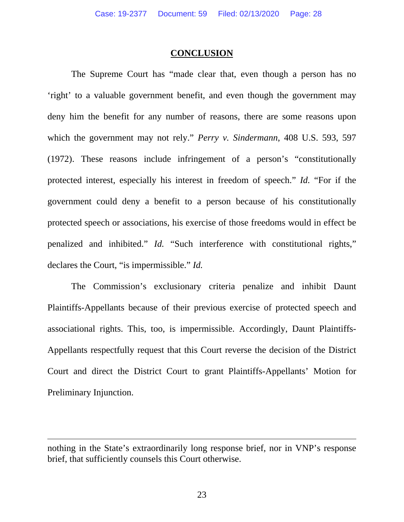#### **CONCLUSION**

The Supreme Court has "made clear that, even though a person has no 'right' to a valuable government benefit, and even though the government may deny him the benefit for any number of reasons, there are some reasons upon which the government may not rely." *Perry v. Sindermann*, 408 U.S. 593, 597 (1972). These reasons include infringement of a person's "constitutionally protected interest, especially his interest in freedom of speech." *Id.* "For if the government could deny a benefit to a person because of his constitutionally protected speech or associations, his exercise of those freedoms would in effect be penalized and inhibited." *Id.* "Such interference with constitutional rights," declares the Court, "is impermissible." *Id.*

The Commission's exclusionary criteria penalize and inhibit Daunt Plaintiffs-Appellants because of their previous exercise of protected speech and associational rights. This, too, is impermissible. Accordingly, Daunt Plaintiffs-Appellants respectfully request that this Court reverse the decision of the District Court and direct the District Court to grant Plaintiffs-Appellants' Motion for Preliminary Injunction.

nothing in the State's extraordinarily long response brief, nor in VNP's response brief, that sufficiently counsels this Court otherwise.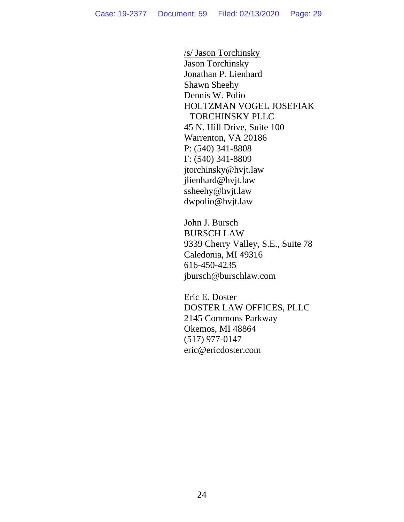/s/ Jason Torchinsky Jason Torchinsky Jonathan P. Lienhard Shawn Sheehy Dennis W. Polio HOLTZMAN VOGEL JOSEFIAK TORCHINSKY PLLC 45 N. Hill Drive, Suite 100 Warrenton, VA 20186 P: (540) 341-8808 F: (540) 341-8809 jtorchinsky@hvjt.law jlienhard@hvjt.law ssheehy@hvjt.law dwpolio@hvjt.law

John J. Bursch BURSCH LAW 9339 Cherry Valley, S.E., Suite 78 Caledonia, MI 49316 616-450-4235 jbursch@burschlaw.com

Eric E. Doster DOSTER LAW OFFICES, PLLC 2145 Commons Parkway Okemos, MI 48864 (517) 977-0147 eric@ericdoster.com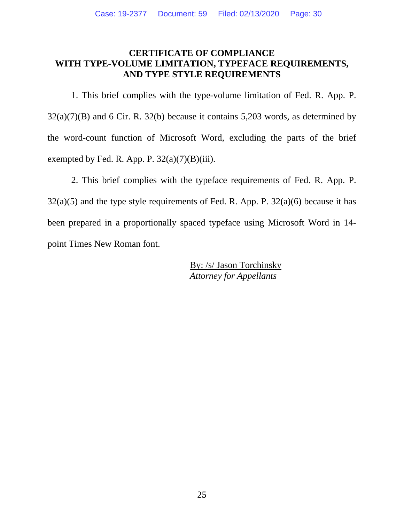### **CERTIFICATE OF COMPLIANCE WITH TYPE-VOLUME LIMITATION, TYPEFACE REQUIREMENTS, AND TYPE STYLE REQUIREMENTS**

 1. This brief complies with the type-volume limitation of Fed. R. App. P.  $32(a)(7)(B)$  and 6 Cir. R. 32(b) because it contains 5,203 words, as determined by the word-count function of Microsoft Word, excluding the parts of the brief exempted by Fed. R. App. P.  $32(a)(7)(B)(iii)$ .

 2. This brief complies with the typeface requirements of Fed. R. App. P.  $32(a)(5)$  and the type style requirements of Fed. R. App. P.  $32(a)(6)$  because it has been prepared in a proportionally spaced typeface using Microsoft Word in 14 point Times New Roman font.

> By: /s/ Jason Torchinsky  *Attorney for Appellants*